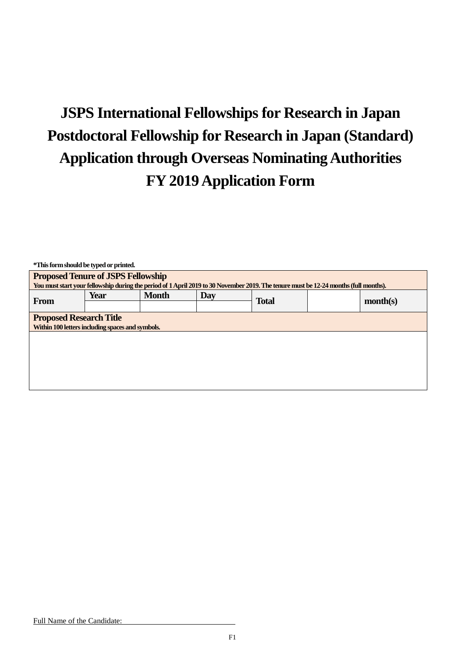# **JSPS International Fellowships for Research in Japan Postdoctoral Fellowship for Research in Japan (Standard) Application through Overseas Nominating Authorities FY 2019 Application Form**

| *This form should be typed or printed.           |      |                                                                                                                                      |     |              |  |          |  |
|--------------------------------------------------|------|--------------------------------------------------------------------------------------------------------------------------------------|-----|--------------|--|----------|--|
| <b>Proposed Tenure of JSPS Fellowship</b>        |      |                                                                                                                                      |     |              |  |          |  |
|                                                  |      | You must start your fellowship during the period of 1 April 2019 to 30 November 2019. The tenure must be 12-24 months (full months). |     |              |  |          |  |
|                                                  | Year | <b>Month</b>                                                                                                                         | Day |              |  |          |  |
| <b>From</b>                                      |      |                                                                                                                                      |     | <b>Total</b> |  | month(s) |  |
| <b>Proposed Research Title</b>                   |      |                                                                                                                                      |     |              |  |          |  |
| Within 100 letters including spaces and symbols. |      |                                                                                                                                      |     |              |  |          |  |
|                                                  |      |                                                                                                                                      |     |              |  |          |  |
|                                                  |      |                                                                                                                                      |     |              |  |          |  |
|                                                  |      |                                                                                                                                      |     |              |  |          |  |
|                                                  |      |                                                                                                                                      |     |              |  |          |  |
|                                                  |      |                                                                                                                                      |     |              |  |          |  |
|                                                  |      |                                                                                                                                      |     |              |  |          |  |
|                                                  |      |                                                                                                                                      |     |              |  |          |  |
|                                                  |      |                                                                                                                                      |     |              |  |          |  |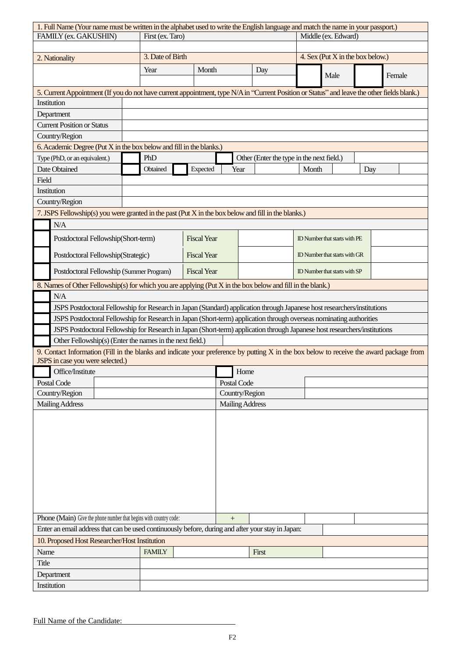|                                                                                                                                                    | 1. Full Name (Your name must be written in the alphabet used to write the English language and match the name in your passport.) |      |                                                                                                                                             |                    |                        |      |                     |                                  |                               |  |                                                                                                                                         |
|----------------------------------------------------------------------------------------------------------------------------------------------------|----------------------------------------------------------------------------------------------------------------------------------|------|---------------------------------------------------------------------------------------------------------------------------------------------|--------------------|------------------------|------|---------------------|----------------------------------|-------------------------------|--|-----------------------------------------------------------------------------------------------------------------------------------------|
| FAMILY (ex. GAKUSHIN)                                                                                                                              |                                                                                                                                  |      | First (ex. Taro)                                                                                                                            |                    |                        |      | Middle (ex. Edward) |                                  |                               |  |                                                                                                                                         |
|                                                                                                                                                    |                                                                                                                                  |      |                                                                                                                                             |                    |                        |      |                     |                                  |                               |  |                                                                                                                                         |
| 2. Nationality                                                                                                                                     |                                                                                                                                  |      | 3. Date of Birth                                                                                                                            |                    |                        |      |                     | 4. Sex (Put X in the box below.) |                               |  |                                                                                                                                         |
|                                                                                                                                                    |                                                                                                                                  |      | Year                                                                                                                                        | Month              |                        |      | Day                 |                                  | Male                          |  | Female                                                                                                                                  |
|                                                                                                                                                    |                                                                                                                                  |      | 5. Current Appointment (If you do not have current appointment, type N/A in "Current Position or Status" and leave the other fields blank.) |                    |                        |      |                     |                                  |                               |  |                                                                                                                                         |
|                                                                                                                                                    | Institution                                                                                                                      |      |                                                                                                                                             |                    |                        |      |                     |                                  |                               |  |                                                                                                                                         |
|                                                                                                                                                    | Department                                                                                                                       |      |                                                                                                                                             |                    |                        |      |                     |                                  |                               |  |                                                                                                                                         |
|                                                                                                                                                    | <b>Current Position or Status</b>                                                                                                |      |                                                                                                                                             |                    |                        |      |                     |                                  |                               |  |                                                                                                                                         |
|                                                                                                                                                    | Country/Region                                                                                                                   |      |                                                                                                                                             |                    |                        |      |                     |                                  |                               |  |                                                                                                                                         |
|                                                                                                                                                    | 6. Academic Degree (Put X in the box below and fill in the blanks.)                                                              |      |                                                                                                                                             |                    |                        |      |                     |                                  |                               |  |                                                                                                                                         |
| Type (PhD, or an equivalent.)<br>PhD                                                                                                               |                                                                                                                                  |      | Other (Enter the type in the next field.)                                                                                                   |                    |                        |      |                     |                                  |                               |  |                                                                                                                                         |
| Date Obtained<br>Obtained<br>Expected                                                                                                              |                                                                                                                                  | Year |                                                                                                                                             |                    | Month                  | Day  |                     |                                  |                               |  |                                                                                                                                         |
| Field                                                                                                                                              |                                                                                                                                  |      |                                                                                                                                             |                    |                        |      |                     |                                  |                               |  |                                                                                                                                         |
|                                                                                                                                                    | Institution                                                                                                                      |      |                                                                                                                                             |                    |                        |      |                     |                                  |                               |  |                                                                                                                                         |
|                                                                                                                                                    | Country/Region                                                                                                                   |      |                                                                                                                                             |                    |                        |      |                     |                                  |                               |  |                                                                                                                                         |
|                                                                                                                                                    |                                                                                                                                  |      | 7. JSPS Fellowship(s) you were granted in the past (Put X in the box below and fill in the blanks.)                                         |                    |                        |      |                     |                                  |                               |  |                                                                                                                                         |
|                                                                                                                                                    | N/A                                                                                                                              |      |                                                                                                                                             |                    |                        |      |                     |                                  |                               |  |                                                                                                                                         |
|                                                                                                                                                    |                                                                                                                                  |      |                                                                                                                                             |                    |                        |      |                     |                                  |                               |  |                                                                                                                                         |
|                                                                                                                                                    | Postdoctoral Fellowship(Short-term)                                                                                              |      |                                                                                                                                             | <b>Fiscal Year</b> |                        |      |                     |                                  | ID Number that starts with PE |  |                                                                                                                                         |
|                                                                                                                                                    | Postdoctoral Fellowship(Strategic)                                                                                               |      |                                                                                                                                             |                    | <b>Fiscal Year</b>     |      |                     |                                  | ID Number that starts with GR |  |                                                                                                                                         |
|                                                                                                                                                    | Postdoctoral Fellowship (Summer Program)                                                                                         |      |                                                                                                                                             | <b>Fiscal Year</b> |                        |      |                     | ID Number that starts with SP    |                               |  |                                                                                                                                         |
|                                                                                                                                                    |                                                                                                                                  |      | 8. Names of Other Fellowship(s) for which you are applying (Put X in the box below and fill in the blank.)                                  |                    |                        |      |                     |                                  |                               |  |                                                                                                                                         |
|                                                                                                                                                    | N/A                                                                                                                              |      |                                                                                                                                             |                    |                        |      |                     |                                  |                               |  |                                                                                                                                         |
|                                                                                                                                                    |                                                                                                                                  |      | JSPS Postdoctoral Fellowship for Research in Japan (Standard) application through Japanese host researchers/institutions                    |                    |                        |      |                     |                                  |                               |  |                                                                                                                                         |
|                                                                                                                                                    |                                                                                                                                  |      | JSPS Postdoctoral Fellowship for Research in Japan (Short-term) application through overseas nominating authorities                         |                    |                        |      |                     |                                  |                               |  |                                                                                                                                         |
|                                                                                                                                                    |                                                                                                                                  |      | JSPS Postdoctoral Fellowship for Research in Japan (Short-term) application through Japanese host researchers/institutions                  |                    |                        |      |                     |                                  |                               |  |                                                                                                                                         |
|                                                                                                                                                    |                                                                                                                                  |      | Other Fellowship(s) (Enter the names in the next field.)                                                                                    |                    |                        |      |                     |                                  |                               |  |                                                                                                                                         |
|                                                                                                                                                    | JSPS in case you were selected.)                                                                                                 |      |                                                                                                                                             |                    |                        |      |                     |                                  |                               |  | 9. Contact Information (Fill in the blanks and indicate your preference by putting X in the box below to receive the award package from |
|                                                                                                                                                    | Office/Institute                                                                                                                 |      |                                                                                                                                             |                    |                        | Home |                     |                                  |                               |  |                                                                                                                                         |
|                                                                                                                                                    | Postal Code                                                                                                                      |      |                                                                                                                                             |                    | Postal Code            |      |                     |                                  |                               |  |                                                                                                                                         |
|                                                                                                                                                    | Country/Region                                                                                                                   |      |                                                                                                                                             |                    | Country/Region         |      |                     |                                  |                               |  |                                                                                                                                         |
|                                                                                                                                                    | <b>Mailing Address</b>                                                                                                           |      |                                                                                                                                             |                    | <b>Mailing Address</b> |      |                     |                                  |                               |  |                                                                                                                                         |
|                                                                                                                                                    |                                                                                                                                  |      |                                                                                                                                             |                    |                        |      |                     |                                  |                               |  |                                                                                                                                         |
| Phone (Main) Give the phone number that begins with country code:                                                                                  |                                                                                                                                  |      |                                                                                                                                             |                    |                        |      |                     |                                  |                               |  |                                                                                                                                         |
| Enter an email address that can be used continuously before, during and after your stay in Japan:<br>10. Proposed Host Researcher/Host Institution |                                                                                                                                  |      |                                                                                                                                             |                    |                        |      |                     |                                  |                               |  |                                                                                                                                         |
|                                                                                                                                                    |                                                                                                                                  |      | <b>FAMILY</b>                                                                                                                               |                    |                        |      | First               |                                  |                               |  |                                                                                                                                         |
| Name                                                                                                                                               |                                                                                                                                  |      |                                                                                                                                             |                    |                        |      |                     |                                  |                               |  |                                                                                                                                         |
| Title                                                                                                                                              |                                                                                                                                  |      |                                                                                                                                             |                    |                        |      |                     |                                  |                               |  |                                                                                                                                         |
|                                                                                                                                                    | Department                                                                                                                       |      |                                                                                                                                             |                    |                        |      |                     |                                  |                               |  |                                                                                                                                         |
|                                                                                                                                                    | Institution                                                                                                                      |      |                                                                                                                                             |                    |                        |      |                     |                                  |                               |  |                                                                                                                                         |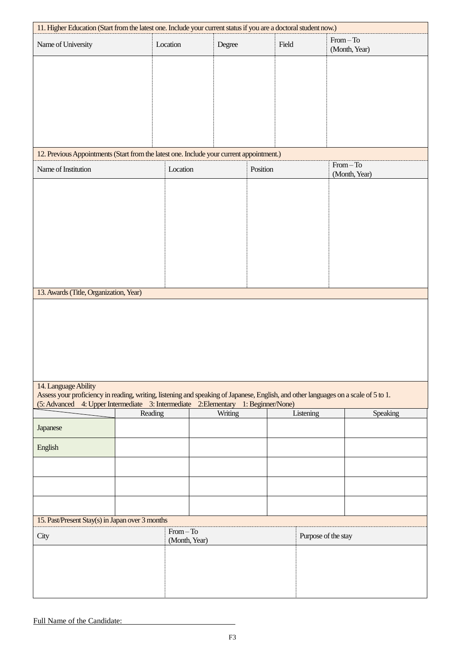| 11. Higher Education (Start from the latest one. Include your current status if you are a doctoral student now.)                                            |               |         |           |                              |          |  |
|-------------------------------------------------------------------------------------------------------------------------------------------------------------|---------------|---------|-----------|------------------------------|----------|--|
| Name of University                                                                                                                                          | Location      | Degree  | Field     | $From - To$<br>(Month, Year) |          |  |
|                                                                                                                                                             |               |         |           |                              |          |  |
|                                                                                                                                                             |               |         |           |                              |          |  |
|                                                                                                                                                             |               |         |           |                              |          |  |
|                                                                                                                                                             |               |         |           |                              |          |  |
|                                                                                                                                                             |               |         |           |                              |          |  |
|                                                                                                                                                             |               |         |           |                              |          |  |
| 12. Previous Appointments (Start from the latest one. Include your current appointment.)                                                                    |               |         |           | $From - To$                  |          |  |
| Name of Institution                                                                                                                                         | Location      |         | Position  | (Month, Year)                |          |  |
|                                                                                                                                                             |               |         |           |                              |          |  |
|                                                                                                                                                             |               |         |           |                              |          |  |
|                                                                                                                                                             |               |         |           |                              |          |  |
|                                                                                                                                                             |               |         |           |                              |          |  |
|                                                                                                                                                             |               |         |           |                              |          |  |
|                                                                                                                                                             |               |         |           |                              |          |  |
|                                                                                                                                                             |               |         |           |                              |          |  |
| 13. Awards (Title, Organization, Year)                                                                                                                      |               |         |           |                              |          |  |
|                                                                                                                                                             |               |         |           |                              |          |  |
|                                                                                                                                                             |               |         |           |                              |          |  |
|                                                                                                                                                             |               |         |           |                              |          |  |
|                                                                                                                                                             |               |         |           |                              |          |  |
|                                                                                                                                                             |               |         |           |                              |          |  |
| 14. Language Ability<br>Assess your proficiency in reading, writing, listening and speaking of Japanese, English, and other languages on a scale of 5 to 1. |               |         |           |                              |          |  |
| (5: Advanced 4: Upper Intermediate 3: Intermediate 2: Elementary 1: Beginner/None)                                                                          | Reading       | Writing | Listening |                              | Speaking |  |
| Japanese                                                                                                                                                    |               |         |           |                              |          |  |
|                                                                                                                                                             |               |         |           |                              |          |  |
| English                                                                                                                                                     |               |         |           |                              |          |  |
|                                                                                                                                                             |               |         |           |                              |          |  |
|                                                                                                                                                             |               |         |           |                              |          |  |
|                                                                                                                                                             |               |         |           |                              |          |  |
| 15. Past/Present Stay(s) in Japan over 3 months                                                                                                             |               |         |           |                              |          |  |
| City                                                                                                                                                        | $From - To$   |         |           | Purpose of the stay          |          |  |
|                                                                                                                                                             | (Month, Year) |         |           |                              |          |  |
|                                                                                                                                                             |               |         |           |                              |          |  |
|                                                                                                                                                             |               |         |           |                              |          |  |
|                                                                                                                                                             |               |         |           |                              |          |  |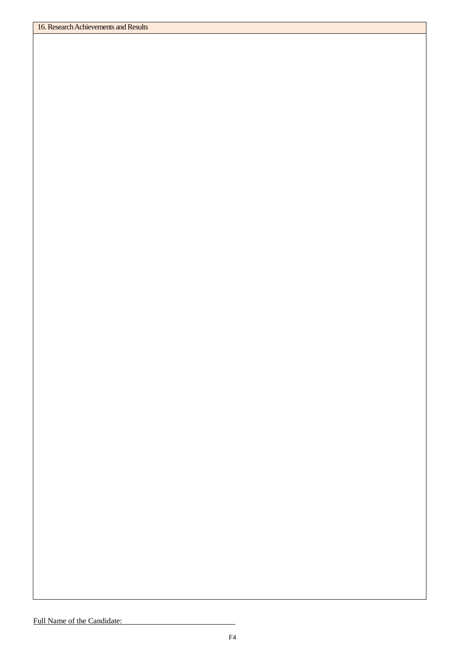#### Full Name of the Candidate: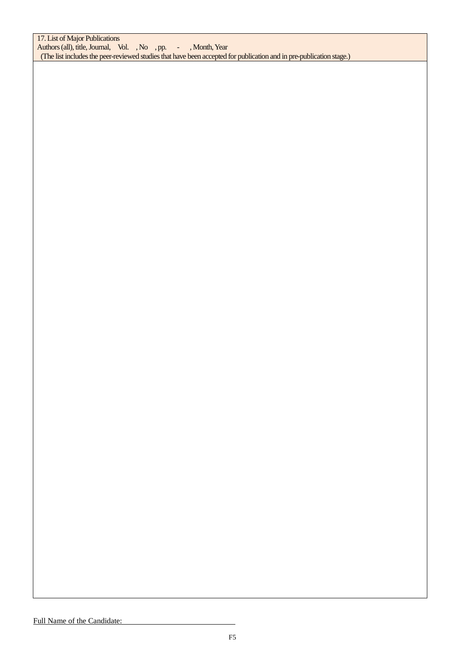17. List of Major Publications Authors (all), title, Journal, Vol., No., pp. -, Month, Year (The list includes the peer-reviewed studies that have been accepted for publication and in pre-publication stage.)

### Full Name of the Candidate: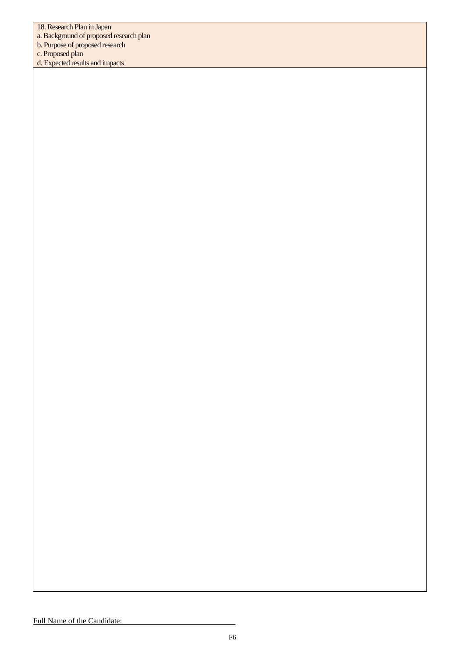18. Research Plan in Japan

a.Background of proposed research plan

b. Purpose of proposed research

c. Proposed plan

d. Expected results and impacts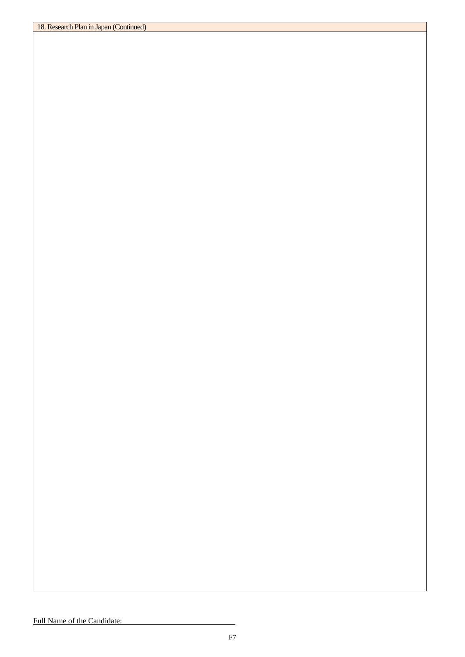### Full Name of the Candidate: